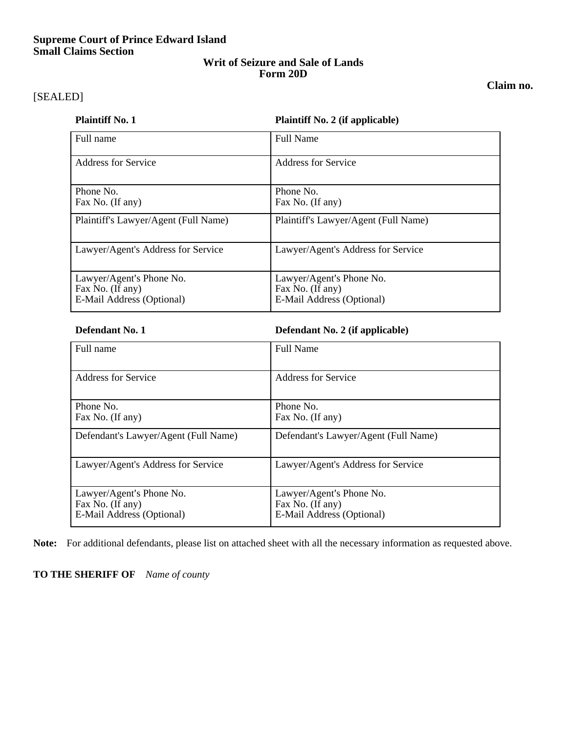## **Supreme Court of Prince Edward Island Small Claims Section**

## **Writ of Seizure and Sale of Lands Form 20D**

### **Claim no.**

# [SEALED]

## **Plaintiff No. 1 Plaintiff No. 2** (if applicable)

| Full name                                                                 | <b>Full Name</b>                                                          |  |  |  |
|---------------------------------------------------------------------------|---------------------------------------------------------------------------|--|--|--|
| <b>Address for Service</b>                                                | Address for Service                                                       |  |  |  |
| Phone No.<br>Fax No. (If any)                                             | Phone No.<br>Fax No. (If any)                                             |  |  |  |
| Plaintiff's Lawyer/Agent (Full Name)                                      | Plaintiff's Lawyer/Agent (Full Name)                                      |  |  |  |
| Lawyer/Agent's Address for Service                                        | Lawyer/Agent's Address for Service                                        |  |  |  |
| Lawyer/Agent's Phone No.<br>Fax No. (If any)<br>E-Mail Address (Optional) | Lawyer/Agent's Phone No.<br>Fax No. (If any)<br>E-Mail Address (Optional) |  |  |  |

| Full name                                                                 | <b>Full Name</b>                                                          |  |  |  |
|---------------------------------------------------------------------------|---------------------------------------------------------------------------|--|--|--|
| Address for Service                                                       | Address for Service                                                       |  |  |  |
| Phone No.<br>Fax No. (If any)                                             | Phone No.<br>Fax No. (If any)                                             |  |  |  |
| Defendant's Lawyer/Agent (Full Name)                                      | Defendant's Lawyer/Agent (Full Name)                                      |  |  |  |
| Lawyer/Agent's Address for Service                                        | Lawyer/Agent's Address for Service                                        |  |  |  |
| Lawyer/Agent's Phone No.<br>Fax No. (If any)<br>E-Mail Address (Optional) | Lawyer/Agent's Phone No.<br>Fax No. (If any)<br>E-Mail Address (Optional) |  |  |  |

**Note:** For additional defendants, please list on attached sheet with all the necessary information as requested above.

### **TO THE SHERIFF OF** *Name of county*